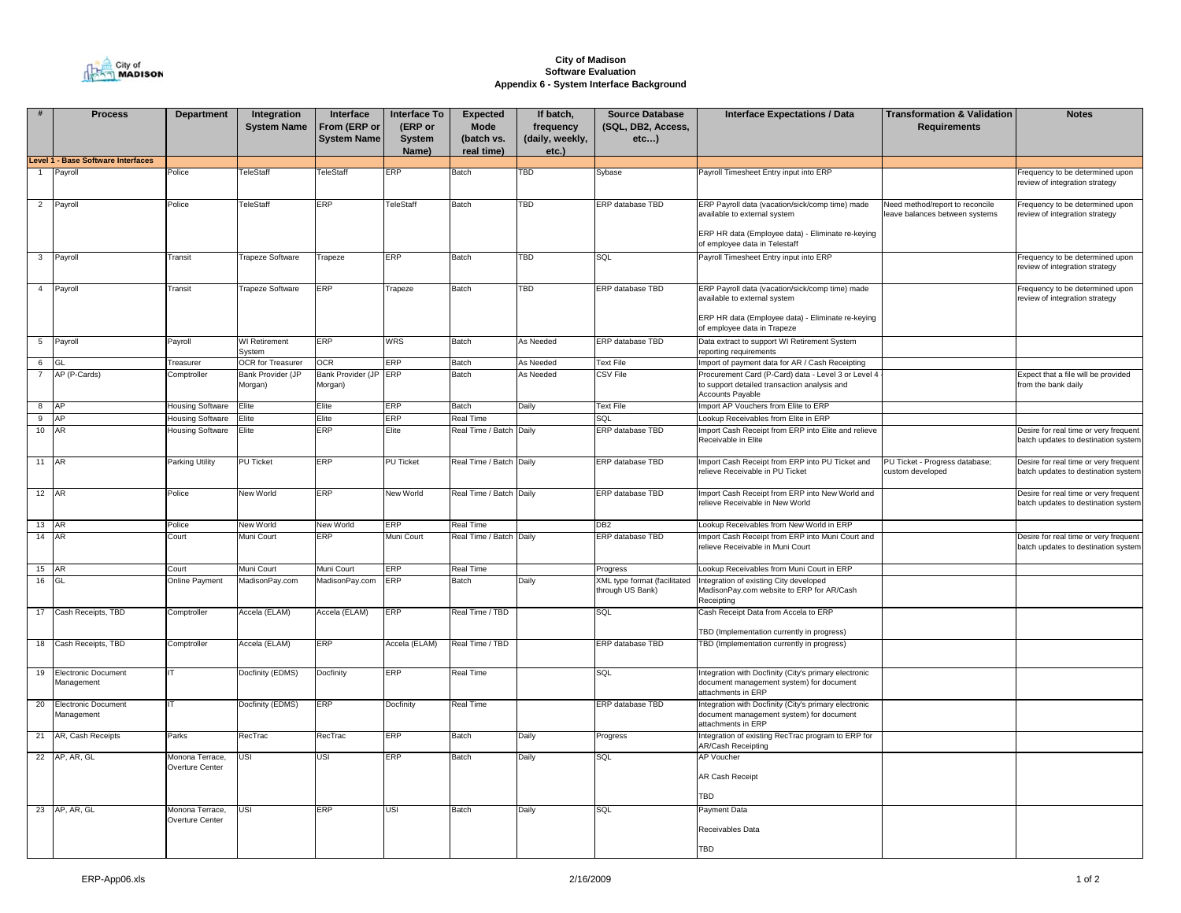

## **City of Madison Software EvaluationAppendix 6 - System Interface Background**

|                | <b>Process</b>                            | <b>Department</b>                  | Integration                    | Interface                          | <b>Interface To</b>        | Expected                                | If batch,                             | <b>Source Database</b>                           | <b>Interface Expectations / Data</b>                                                                                                                                  | <b>Transformation &amp; Validation</b>                           | <b>Notes</b>                                                                 |
|----------------|-------------------------------------------|------------------------------------|--------------------------------|------------------------------------|----------------------------|-----------------------------------------|---------------------------------------|--------------------------------------------------|-----------------------------------------------------------------------------------------------------------------------------------------------------------------------|------------------------------------------------------------------|------------------------------------------------------------------------------|
|                |                                           |                                    | <b>System Name</b>             | From (ERP or<br><b>System Name</b> | (ERP or<br>System<br>Name) | <b>Mode</b><br>(batch vs.<br>real time) | frequency<br>(daily, weekly,<br>etc.) | (SQL, DB2, Access,<br>etc)                       |                                                                                                                                                                       | <b>Requirements</b>                                              |                                                                              |
|                | <b>Level 1 - Base Software Interfaces</b> |                                    |                                |                                    |                            |                                         |                                       |                                                  |                                                                                                                                                                       |                                                                  |                                                                              |
|                | Payroll                                   | Police                             | TeleStaff                      | <b>TeleStaff</b>                   | ERP                        | Batch                                   | <b>TBD</b>                            | Sybase                                           | Payroll Timesheet Entry input into ERP                                                                                                                                |                                                                  | requency to be determined upon<br>review of integration strategy             |
| $\overline{2}$ | Payroll                                   | Police                             | TeleStaff                      | ERP                                | TeleStaff                  | Batch                                   | TBD                                   | ERP database TBD                                 | ERP Payroll data (vacation/sick/comp time) made<br>available to external system<br>ERP HR data (Employee data) - Eliminate re-keying<br>of employee data in Telestaff | Need method/report to reconcile<br>eave balances between systems | requency to be determined upon<br>review of integration strategy             |
| $\mathbf{3}$   | Payroll                                   | Transit                            | <b>Trapeze Software</b>        | Trapeze                            | ERP                        | Batch                                   | TBD                                   | SQL                                              | Payroll Timesheet Entry input into ERP                                                                                                                                |                                                                  | requency to be determined upon<br>review of integration strategy             |
|                | 4 Payroll                                 | Transit                            | Trapeze Software               | ERP                                | Trapeze                    | Batch                                   | <b>TBD</b>                            | ERP database TBD                                 | ERP Payroll data (vacation/sick/comp time) made<br>available to external system<br>ERP HR data (Employee data) - Eliminate re-keying<br>of employee data in Trapeze   |                                                                  | requency to be determined upon<br>review of integration strategy             |
|                | 5 Payroll                                 | Payroll                            | <b>WI</b> Retirement<br>System | ERP                                | <b>WRS</b>                 | Batch                                   | As Needed                             | ERP database TBD                                 | Data extract to support WI Retirement System<br>reporting requirements                                                                                                |                                                                  |                                                                              |
| 6              | GI                                        | Treasurer                          | OCR for Treasurer              | <b>OCR</b>                         | ERP                        | Batch                                   | As Needed                             | <b>Text File</b>                                 | Import of payment data for AR / Cash Receipting                                                                                                                       |                                                                  |                                                                              |
| 7              | AP (P-Cards)                              | Comptroller                        | Bank Provider (JP<br>Morgan)   | Bank Provider (JP<br>Morgan)       | ERP                        | Batch                                   | As Needed                             | CSV File                                         | Procurement Card (P-Card) data - Level 3 or Level 4<br>to support detailed transaction analysis and<br><b>Accounts Payable</b>                                        |                                                                  | Expect that a file will be provided<br>from the bank daily                   |
| 8 AP           |                                           | <b>Housing Software</b>            | Elite                          | Elite                              | ERP                        | Batch                                   | Daily                                 | Text File                                        | mport AP Vouchers from Elite to ERP                                                                                                                                   |                                                                  |                                                                              |
| $9$ AP         |                                           | Housing Software                   | Elite                          | Elite                              | ERP                        | <b>Real Time</b>                        |                                       | SQL                                              | Lookup Receivables from Elite in ERP                                                                                                                                  |                                                                  |                                                                              |
| 10 AR          |                                           | Housing Software                   | Elite                          | ERP                                | Elite                      | Real Time / Batch Daily                 |                                       | ERP database TBD                                 | Import Cash Receipt from ERP into Elite and relieve<br>Receivable in Elite                                                                                            |                                                                  | Desire for real time or very frequent<br>batch updates to destination system |
| 11 AR          |                                           | <b>Parking Utility</b>             | <b>PU Ticket</b>               | ERP                                | <b>PU Ticket</b>           | Real Time / Batch Daily                 |                                       | ERP database TBD                                 | mport Cash Receipt from ERP into PU Ticket and<br>relieve Receivable in PU Ticket                                                                                     | PU Ticket - Progress database;<br>custom developed               | Desire for real time or very frequent<br>batch updates to destination system |
| 12 AR          |                                           | Police                             | New World                      | ERP                                | New World                  | Real Time / Batch Daily                 |                                       | ERP database TBD                                 | Import Cash Receipt from ERP into New World and<br>relieve Receivable in New World                                                                                    |                                                                  | Desire for real time or very frequent<br>batch updates to destination systen |
| 13 AR          |                                           | Police                             | New World                      | New World                          | ERP                        | Real Time                               |                                       | DB <sub>2</sub>                                  | Lookup Receivables from New World in ERP                                                                                                                              |                                                                  |                                                                              |
| 14 AR          |                                           | Court                              | Muni Court                     | ERP                                | Muni Court                 | Real Time / Batch Daily                 |                                       | ERP database TBD                                 | mport Cash Receipt from ERP into Muni Court and<br>relieve Receivable in Muni Court                                                                                   |                                                                  | Desire for real time or very frequent<br>batch updates to destination system |
| 15 AR          |                                           | Court                              | Muni Court                     | Muni Court                         | ERP                        | <b>Real Time</b>                        |                                       | Progress                                         | Lookup Receivables from Muni Court in ERP                                                                                                                             |                                                                  |                                                                              |
| 16             |                                           | <b>Online Payment</b>              | MadisonPay.com                 | MadisonPay.com                     | ERP                        | <b>Batch</b>                            | Daily                                 | XML type format (facilitated<br>through US Bank) | Integration of existing City developed<br>MadisonPay.com website to ERP for AR/Cash<br>Receipting                                                                     |                                                                  |                                                                              |
|                | 17 Cash Receipts, TBD                     | Comptroller                        | Accela (ELAM)                  | Accela (ELAM)                      | ERP                        | Real Time / TBD                         |                                       | SQL                                              | Cash Receipt Data from Accela to ERP<br>TBD (Implementation currently in progress)                                                                                    |                                                                  |                                                                              |
|                | 18 Cash Receipts, TBD                     | Comptroller                        | Accela (ELAM)                  | ERP                                | Accela (ELAM)              | Real Time / TBD                         |                                       | ERP database TBD                                 | TBD (Implementation currently in progress)                                                                                                                            |                                                                  |                                                                              |
|                | 19 Electronic Document<br>Management      |                                    | Docfinity (EDMS)               | Docfinity                          | ERP                        | <b>Real Time</b>                        |                                       | SQL                                              | Integration with Docfinity (City's primary electronic<br>document management system) for document<br>attachments in ERP                                               |                                                                  |                                                                              |
|                | 20 Electronic Document<br>Management      |                                    | Docfinity (EDMS)               | ERP                                | Docfinity                  | <b>Real Time</b>                        |                                       | ERP database TBD                                 | ntegration with Docfinity (City's primary electronic<br>document management system) for document<br>attachments in ERP                                                |                                                                  |                                                                              |
|                | 21 AR, Cash Receipts                      | Parks                              | RecTrac                        | RecTrac                            | ERP                        | Batch                                   | Daily                                 | Progress                                         | Integration of existing RecTrac program to ERP for<br>AR/Cash Receipting                                                                                              |                                                                  |                                                                              |
|                | 22 AP, AR, GL                             | Monona Terrace,<br>Overture Center | USI                            | USI                                | ERP                        | Batch                                   | Daily                                 | SQL                                              | <b>AP Voucher</b><br><b>AR Cash Receipt</b><br>TBD                                                                                                                    |                                                                  |                                                                              |
|                | 23 AP, AR, GL                             | Monona Terrace,<br>Overture Center | <b>USI</b>                     | ERP                                | USI                        | Batch                                   | Daily                                 | SQL                                              | <b>Payment Data</b><br>Receivables Data<br><b>TBD</b>                                                                                                                 |                                                                  |                                                                              |